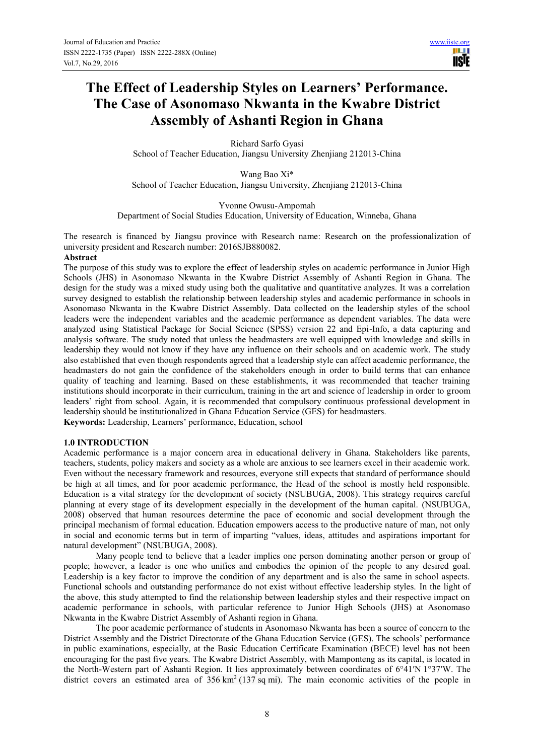m **Tisle** 

# **The Effect of Leadership Styles on Learners' Performance. The Case of Asonomaso Nkwanta in the Kwabre District Assembly of Ashanti Region in Ghana**

Richard Sarfo Gyasi School of Teacher Education, Jiangsu University Zhenjiang 212013-China

Wang Bao Xi\* School of Teacher Education, Jiangsu University, Zhenjiang 212013-China

Yvonne Owusu-Ampomah Department of Social Studies Education, University of Education, Winneba, Ghana

The research is financed by Jiangsu province with Research name: Research on the professionalization of university president and Research number: 2016SJB880082.

#### **Abstract**

The purpose of this study was to explore the effect of leadership styles on academic performance in Junior High Schools (JHS) in Asonomaso Nkwanta in the Kwabre District Assembly of Ashanti Region in Ghana. The design for the study was a mixed study using both the qualitative and quantitative analyzes. It was a correlation survey designed to establish the relationship between leadership styles and academic performance in schools in Asonomaso Nkwanta in the Kwabre District Assembly. Data collected on the leadership styles of the school leaders were the independent variables and the academic performance as dependent variables. The data were analyzed using Statistical Package for Social Science (SPSS) version 22 and Epi-Info, a data capturing and analysis software. The study noted that unless the headmasters are well equipped with knowledge and skills in leadership they would not know if they have any influence on their schools and on academic work. The study also established that even though respondents agreed that a leadership style can affect academic performance, the headmasters do not gain the confidence of the stakeholders enough in order to build terms that can enhance quality of teaching and learning. Based on these establishments, it was recommended that teacher training institutions should incorporate in their curriculum, training in the art and science of leadership in order to groom leaders' right from school. Again, it is recommended that compulsory continuous professional development in leadership should be institutionalized in Ghana Education Service (GES) for headmasters.

**Keywords:** Leadership, Learners' performance, Education, school

## **1.0 INTRODUCTION**

Academic performance is a major concern area in educational delivery in Ghana. Stakeholders like parents, teachers, students, policy makers and society as a whole are anxious to see learners excel in their academic work. Even without the necessary framework and resources, everyone still expects that standard of performance should be high at all times, and for poor academic performance, the Head of the school is mostly held responsible. Education is a vital strategy for the development of society (NSUBUGA, 2008). This strategy requires careful planning at every stage of its development especially in the development of the human capital. (NSUBUGA, 2008) observed that human resources determine the pace of economic and social development through the principal mechanism of formal education. Education empowers access to the productive nature of man, not only in social and economic terms but in term of imparting "values, ideas, attitudes and aspirations important for natural development" (NSUBUGA, 2008).

Many people tend to believe that a leader implies one person dominating another person or group of people; however, a leader is one who unifies and embodies the opinion of the people to any desired goal. Leadership is a key factor to improve the condition of any department and is also the same in school aspects. Functional schools and outstanding performance do not exist without effective leadership styles. In the light of the above, this study attempted to find the relationship between leadership styles and their respective impact on academic performance in schools, with particular reference to Junior High Schools (JHS) at Asonomaso Nkwanta in the Kwabre District Assembly of Ashanti region in Ghana.

The poor academic performance of students in Asonomaso Nkwanta has been a source of concern to the District Assembly and the District Directorate of the Ghana Education Service (GES). The schools' performance in public examinations, especially, at the Basic Education Certificate Examination (BECE) level has not been encouraging for the past five years. The Kwabre District Assembly, with Mamponteng as its capital, is located in the North-Western part of Ashanti Region. It lies approximately between coordinates of 6°41′N 1°37′W. The district covers an estimated area of  $356 \text{ km}^2 (137 \text{ sq mi})$ . The main economic activities of the people in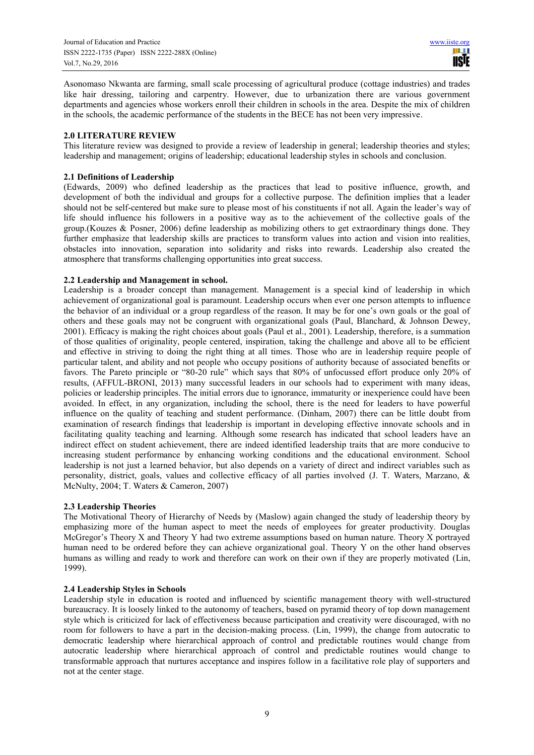Asonomaso Nkwanta are farming, small scale processing of agricultural produce (cottage industries) and trades like hair dressing, tailoring and carpentry. However, due to urbanization there are various government departments and agencies whose workers enroll their children in schools in the area. Despite the mix of children in the schools, the academic performance of the students in the BECE has not been very impressive.

#### **2.0 LITERATURE REVIEW**

This literature review was designed to provide a review of leadership in general; leadership theories and styles; leadership and management; origins of leadership; educational leadership styles in schools and conclusion.

#### **2.1 Definitions of Leadership**

(Edwards, 2009) who defined leadership as the practices that lead to positive influence, growth, and development of both the individual and groups for a collective purpose. The definition implies that a leader should not be self-centered but make sure to please most of his constituents if not all. Again the leader's way of life should influence his followers in a positive way as to the achievement of the collective goals of the group.(Kouzes & Posner, 2006) define leadership as mobilizing others to get extraordinary things done. They further emphasize that leadership skills are practices to transform values into action and vision into realities, obstacles into innovation, separation into solidarity and risks into rewards. Leadership also created the atmosphere that transforms challenging opportunities into great success.

## **2.2 Leadership and Management in school.**

Leadership is a broader concept than management. Management is a special kind of leadership in which achievement of organizational goal is paramount. Leadership occurs when ever one person attempts to influence the behavior of an individual or a group regardless of the reason. It may be for one's own goals or the goal of others and these goals may not be congruent with organizational goals (Paul, Blanchard, & Johnson Dewey, 2001). Efficacy is making the right choices about goals (Paul et al., 2001). Leadership, therefore, is a summation of those qualities of originality, people centered, inspiration, taking the challenge and above all to be efficient and effective in striving to doing the right thing at all times. Those who are in leadership require people of particular talent, and ability and not people who occupy positions of authority because of associated benefits or favors. The Pareto principle or "80-20 rule" which says that 80% of unfocussed effort produce only 20% of results, (AFFUL-BRONI, 2013) many successful leaders in our schools had to experiment with many ideas, policies or leadership principles. The initial errors due to ignorance, immaturity or inexperience could have been avoided. In effect, in any organization, including the school, there is the need for leaders to have powerful influence on the quality of teaching and student performance. (Dinham, 2007) there can be little doubt from examination of research findings that leadership is important in developing effective innovate schools and in facilitating quality teaching and learning. Although some research has indicated that school leaders have an indirect effect on student achievement, there are indeed identified leadership traits that are more conducive to increasing student performance by enhancing working conditions and the educational environment. School leadership is not just a learned behavior, but also depends on a variety of direct and indirect variables such as personality, district, goals, values and collective efficacy of all parties involved (J. T. Waters, Marzano, & McNulty, 2004; T. Waters & Cameron, 2007)

## **2.3 Leadership Theories**

The Motivational Theory of Hierarchy of Needs by (Maslow) again changed the study of leadership theory by emphasizing more of the human aspect to meet the needs of employees for greater productivity. Douglas McGregor's Theory X and Theory Y had two extreme assumptions based on human nature. Theory X portrayed human need to be ordered before they can achieve organizational goal. Theory Y on the other hand observes humans as willing and ready to work and therefore can work on their own if they are properly motivated (Lin, 1999).

## **2.4 Leadership Styles in Schools**

Leadership style in education is rooted and influenced by scientific management theory with well-structured bureaucracy. It is loosely linked to the autonomy of teachers, based on pyramid theory of top down management style which is criticized for lack of effectiveness because participation and creativity were discouraged, with no room for followers to have a part in the decision-making process. (Lin, 1999), the change from autocratic to democratic leadership where hierarchical approach of control and predictable routines would change from autocratic leadership where hierarchical approach of control and predictable routines would change to transformable approach that nurtures acceptance and inspires follow in a facilitative role play of supporters and not at the center stage.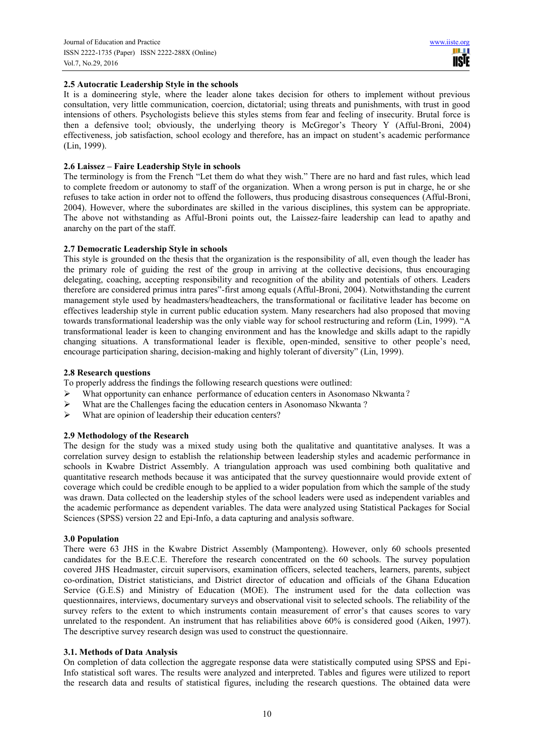# **2.5 Autocratic Leadership Style in the schools**

It is a domineering style, where the leader alone takes decision for others to implement without previous consultation, very little communication, coercion, dictatorial; using threats and punishments, with trust in good intensions of others. Psychologists believe this styles stems from fear and feeling of insecurity. Brutal force is then a defensive tool; obviously, the underlying theory is McGregor's Theory Y (Afful-Broni, 2004) effectiveness, job satisfaction, school ecology and therefore, has an impact on student's academic performance (Lin, 1999).

# **2.6 Laissez – Faire Leadership Style in schools**

The terminology is from the French "Let them do what they wish." There are no hard and fast rules, which lead to complete freedom or autonomy to staff of the organization. When a wrong person is put in charge, he or she refuses to take action in order not to offend the followers, thus producing disastrous consequences (Afful-Broni, 2004). However, where the subordinates are skilled in the various disciplines, this system can be appropriate. The above not withstanding as Afful-Broni points out, the Laissez-faire leadership can lead to apathy and anarchy on the part of the staff.

## **2.7 Democratic Leadership Style in schools**

This style is grounded on the thesis that the organization is the responsibility of all, even though the leader has the primary role of guiding the rest of the group in arriving at the collective decisions, thus encouraging delegating, coaching, accepting responsibility and recognition of the ability and potentials of others. Leaders therefore are considered primus intra pares"-first among equals (Afful-Broni, 2004). Notwithstanding the current management style used by headmasters/headteachers, the transformational or facilitative leader has become on effectives leadership style in current public education system. Many researchers had also proposed that moving towards transformational leadership was the only viable way for school restructuring and reform (Lin, 1999). "A transformational leader is keen to changing environment and has the knowledge and skills adapt to the rapidly changing situations. A transformational leader is flexible, open-minded, sensitive to other people's need, encourage participation sharing, decision-making and highly tolerant of diversity" (Lin, 1999).

# **2.8 Research questions**

To properly address the findings the following research questions were outlined:

- > What opportunity can enhance performance of education centers in Asonomaso Nkwanta?
- $\triangleright$  What are the Challenges facing the education centers in Asonomaso Nkwanta ?
- $\triangleright$  What are opinion of leadership their education centers?

## **2.9 Methodology of the Research**

The design for the study was a mixed study using both the qualitative and quantitative analyses. It was a correlation survey design to establish the relationship between leadership styles and academic performance in schools in Kwabre District Assembly. A triangulation approach was used combining both qualitative and quantitative research methods because it was anticipated that the survey questionnaire would provide extent of coverage which could be credible enough to be applied to a wider population from which the sample of the study was drawn. Data collected on the leadership styles of the school leaders were used as independent variables and the academic performance as dependent variables. The data were analyzed using Statistical Packages for Social Sciences (SPSS) version 22 and Epi-Info, a data capturing and analysis software.

## **3.0 Population**

There were 63 JHS in the Kwabre District Assembly (Mamponteng). However, only 60 schools presented candidates for the B.E.C.E. Therefore the research concentrated on the 60 schools. The survey population covered JHS Headmaster, circuit supervisors, examination officers, selected teachers, learners, parents, subject co-ordination, District statisticians, and District director of education and officials of the Ghana Education Service (G.E.S) and Ministry of Education (MOE). The instrument used for the data collection was questionnaires, interviews, documentary surveys and observational visit to selected schools. The reliability of the survey refers to the extent to which instruments contain measurement of error's that causes scores to vary unrelated to the respondent. An instrument that has reliabilities above 60% is considered good (Aiken, 1997). The descriptive survey research design was used to construct the questionnaire.

## **3.1. Methods of Data Analysis**

On completion of data collection the aggregate response data were statistically computed using SPSS and Epi-Info statistical soft wares. The results were analyzed and interpreted. Tables and figures were utilized to report the research data and results of statistical figures, including the research questions. The obtained data were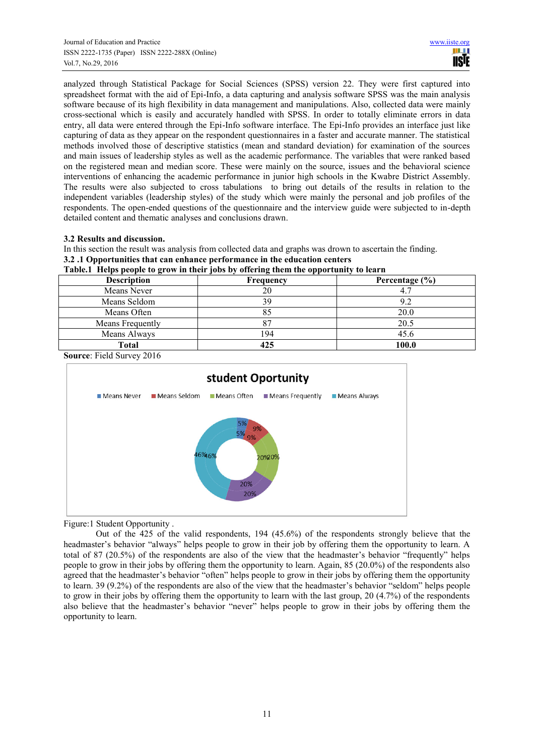analyzed through Statistical Package for Social Sciences (SPSS) version 22. They were first captured into spreadsheet format with the aid of Epi-Info, a data capturing and analysis software SPSS was the main analysis software because of its high flexibility in data management and manipulations. Also, collected data were mainly cross-sectional which is easily and accurately handled with SPSS. In order to totally eliminate errors in data entry, all data were entered through the Epi-Info software interface. The Epi-Info provides an interface just like capturing of data as they appear on the respondent questionnaires in a faster and accurate manner. The statistical methods involved those of descriptive statistics (mean and standard deviation) for examination of the sources and main issues of leadership styles as well as the academic performance. The variables that were ranked based on the registered mean and median score. These were mainly on the source, issues and the behavioral science interventions of enhancing the academic performance in junior high schools in the Kwabre District Assembly. The results were also subjected to cross tabulations to bring out details of the results in relation to the independent variables (leadership styles) of the study which were mainly the personal and job profiles of the respondents. The open-ended questions of the questionnaire and the interview guide were subjected to in-depth detailed content and thematic analyses and conclusions drawn.

## **3.2 Results and discussion.**

In this section the result was analysis from collected data and graphs was drown to ascertain the finding. **3.2 .1 Opportunities that can enhance performance in the education centers** 

|  |  | Table.1 Helps people to grow in their jobs by offering them the opportunity to learn |  |
|--|--|--------------------------------------------------------------------------------------|--|
|  |  |                                                                                      |  |

| <b>Description</b> | Frequency | Percentage $(\% )$ |
|--------------------|-----------|--------------------|
| Means Never        |           |                    |
| Means Seldom       | 39        | 9.2                |
| Means Often        |           | 20.0               |
| Means Frequently   |           | 20.5               |
| Means Always       | 194       | 45.6               |
| Total              | 425       | 100.0              |

**Source**: Field Survey 2016



Figure:1 Student Opportunity .

Out of the 425 of the valid respondents, 194 (45.6%) of the respondents strongly believe that the headmaster's behavior "always" helps people to grow in their job by offering them the opportunity to learn. A total of 87 (20.5%) of the respondents are also of the view that the headmaster's behavior "frequently" helps people to grow in their jobs by offering them the opportunity to learn. Again, 85 (20.0%) of the respondents also agreed that the headmaster's behavior "often" helps people to grow in their jobs by offering them the opportunity to learn. 39 (9.2%) of the respondents are also of the view that the headmaster's behavior "seldom" helps people to grow in their jobs by offering them the opportunity to learn with the last group, 20 (4.7%) of the respondents also believe that the headmaster's behavior "never" helps people to grow in their jobs by offering them the opportunity to learn.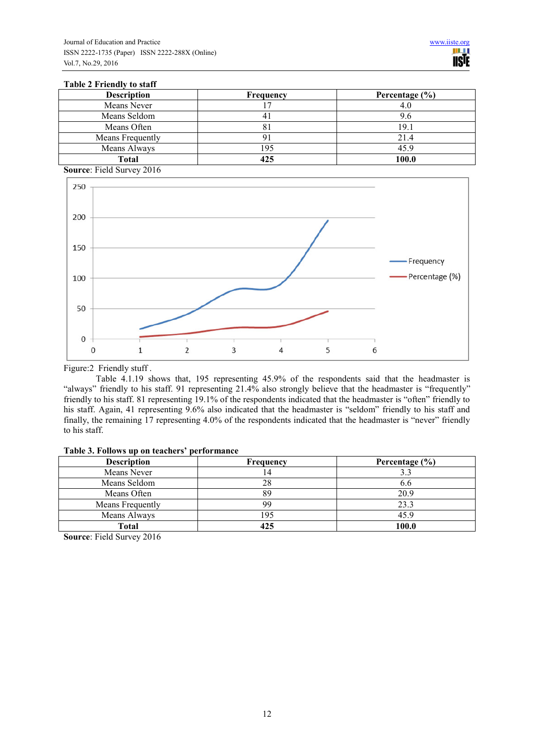#### **Table 2 Friendly to staff**

| <b>Description</b> | Frequency | Percentage $(\% )$ |
|--------------------|-----------|--------------------|
| Means Never        |           | 4.0                |
| Means Seldom       |           | 9.6                |
| Means Often        |           | 19.1               |
| Means Frequently   |           | 21.4               |
| Means Always       | 95        | 45.9               |
| Total              | 425       | 100.0              |

**Source**: Field Survey 2016



Figure:2 Friendly stuff .

Table 4.1.19 shows that, 195 representing 45.9% of the respondents said that the headmaster is "always" friendly to his staff. 91 representing 21.4% also strongly believe that the headmaster is "frequently" friendly to his staff. 81 representing 19.1% of the respondents indicated that the headmaster is "often" friendly to his staff. Again, 41 representing 9.6% also indicated that the headmaster is "seldom" friendly to his staff and finally, the remaining 17 representing 4.0% of the respondents indicated that the headmaster is "never" friendly to his staff.

| Table 3. Follows up on teachers' performance |  |  |
|----------------------------------------------|--|--|
|----------------------------------------------|--|--|

| <b>Description</b> | Frequency | Percentage $(\% )$ |
|--------------------|-----------|--------------------|
| Means Never        |           |                    |
| Means Seldom       | 28        | 0.6                |
| Means Often        | 89        | 20.9               |
| Means Frequently   | gg        | 23.3               |
| Means Always       | -95       | 45.9               |
| Total              |           | 100.0              |

**Source**: Field Survey 2016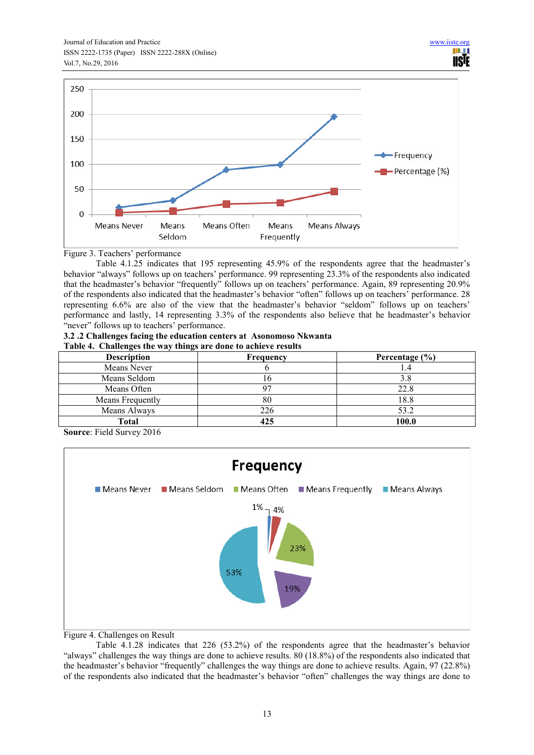

Figure 3. Teachers' performance

Table 4.1.25 indicates that 195 representing 45.9% of the respondents agree that the headmaster's behavior "always" follows up on teachers' performance. 99 representing 23.3% of the respondents also indicated that the headmaster's behavior "frequently" follows up on teachers' performance. Again, 89 representing 20.9% of the respondents also indicated that the headmaster's behavior "often" follows up on teachers' performance. 28 representing 6.6% are also of the view that the headmaster's behavior "seldom" follows up on teachers' performance and lastly, 14 representing 3.3% of the respondents also believe that he headmaster's behavior "never" follows up to teachers' performance.

#### **3.2 .2 Challenges facing the education centers at Asonomoso Nkwanta Table 4. Challenges the way things are done to achieve results**

| TWOTE IS CHAIRDING TO THE HAY ANIMED ALL WOTER TO MENTE I ROWLED. |                  |                    |  |  |
|-------------------------------------------------------------------|------------------|--------------------|--|--|
| <b>Description</b>                                                | <b>Frequency</b> | Percentage $(\% )$ |  |  |
| Means Never                                                       |                  |                    |  |  |
| Means Seldom                                                      |                  | 3.8                |  |  |
| Means Often                                                       |                  | 22.8               |  |  |
| Means Frequently                                                  | 80               | 18.8               |  |  |
| Means Always                                                      | 226              | 53.2               |  |  |
| Total                                                             | 425              | 100.0              |  |  |

**Source**: Field Survey 2016



Figure 4. Challenges on Result

Table 4.1.28 indicates that 226 (53.2%) of the respondents agree that the headmaster's behavior "always" challenges the way things are done to achieve results. 80 (18.8%) of the respondents also indicated that the headmaster's behavior "frequently" challenges the way things are done to achieve results. Again, 97 (22.8%) of the respondents also indicated that the headmaster's behavior "often" challenges the way things are done to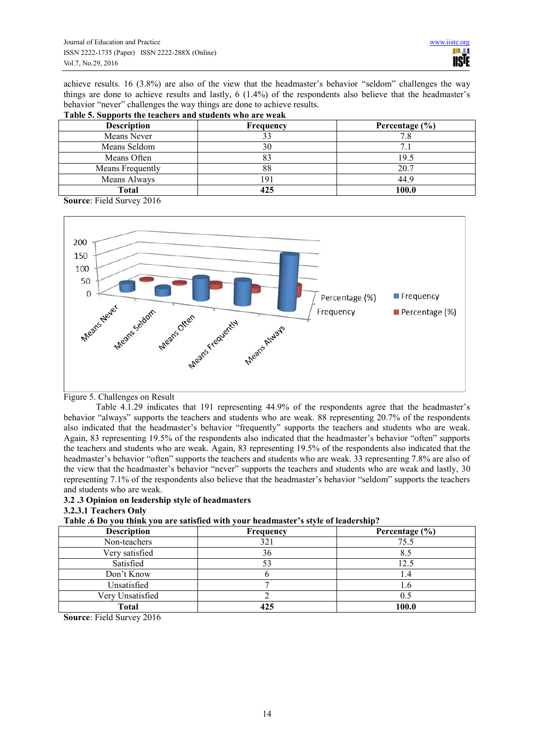achieve results. 16 (3.8%) are also of the view that the headmaster's behavior "seldom" challenges the way things are done to achieve results and lastly, 6 (1.4%) of the respondents also believe that the headmaster's behavior "never" challenges the way things are done to achieve results.

| Lable 5. Supports the teachers and students who are weak |           |                    |  |  |
|----------------------------------------------------------|-----------|--------------------|--|--|
| <b>Description</b>                                       | Frequency | Percentage $(\% )$ |  |  |
| Means Never                                              |           |                    |  |  |
| Means Seldom                                             | 30        |                    |  |  |
| Means Often                                              |           | 19.5               |  |  |
| Means Frequently                                         | 88        | 20.7               |  |  |
| Means Always                                             | -91       | 44.9               |  |  |
| Total                                                    | 425       | 100.0              |  |  |

#### **Table 5. Supports the teachers and students who are weak**

**Source**: Field Survey 2016



#### Figure 5. Challenges on Result

Table 4.1.29 indicates that 191 representing 44.9% of the respondents agree that the headmaster's behavior "always" supports the teachers and students who are weak. 88 representing 20.7% of the respondents also indicated that the headmaster's behavior "frequently" supports the teachers and students who are weak. Again, 83 representing 19.5% of the respondents also indicated that the headmaster's behavior "often" supports the teachers and students who are weak. Again, 83 representing 19.5% of the respondents also indicated that the headmaster's behavior "often" supports the teachers and students who are weak. 33 representing 7.8% are also of the view that the headmaster's behavior "never" supports the teachers and students who are weak and lastly, 30 representing 7.1% of the respondents also believe that the headmaster's behavior "seldom" supports the teachers and students who are weak.

# **3.2 .3 Opinion on leadership style of headmasters**

## **3.2.3.1 Teachers Only**

## **Table .6 Do you think you are satisfied with your headmaster's style of leadership?**

| <b>Description</b> | Frequency | Percentage $(\% )$ |
|--------------------|-----------|--------------------|
| Non-teachers       | 321       | 75.5               |
| Very satisfied     | 36        | 8.5                |
| Satisfied          |           | l 2.5              |
| Don't Know         |           | I .4               |
| Unsatisfied        |           | l.b                |
| Very Unsatisfied   |           | 0.5                |
| <b>Total</b>       |           | 100.0              |

**Source**: Field Survey 2016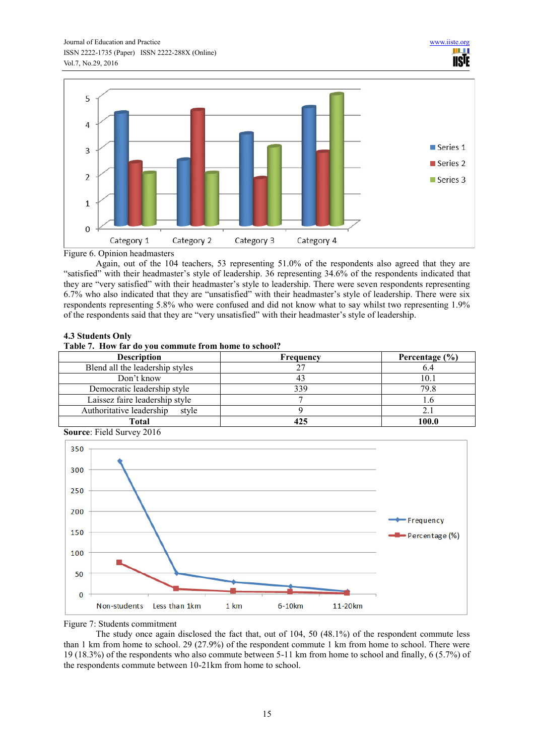

Figure 6. Opinion headmasters

Again, out of the 104 teachers, 53 representing 51.0% of the respondents also agreed that they are "satisfied" with their headmaster's style of leadership. 36 representing 34.6% of the respondents indicated that they are "very satisfied" with their headmaster's style to leadership. There were seven respondents representing 6.7% who also indicated that they are "unsatisfied" with their headmaster's style of leadership. There were six respondents representing 5.8% who were confused and did not know what to say whilst two representing 1.9% of the respondents said that they are "very unsatisfied" with their headmaster's style of leadership.

## **4.3 Students Only**

#### **Table 7. How far do you commute from home to school?**

| <b>Description</b>                | Frequency | Percentage $(\% )$ |
|-----------------------------------|-----------|--------------------|
| Blend all the leadership styles   |           | 6.4                |
| Don't know                        |           | 10.1               |
| Democratic leadership style       | 330       | 79.8               |
| Laissez faire leadership style    |           |                    |
| Authoritative leadership<br>style |           | 2.1                |
| Total                             |           | 100.0              |

**Source**: Field Survey 2016



Figure 7: Students commitment

The study once again disclosed the fact that, out of 104, 50 (48.1%) of the respondent commute less than 1 km from home to school. 29 (27.9%) of the respondent commute 1 km from home to school. There were 19 (18.3%) of the respondents who also commute between 5-11 km from home to school and finally, 6 (5.7%) of the respondents commute between 10-21km from home to school.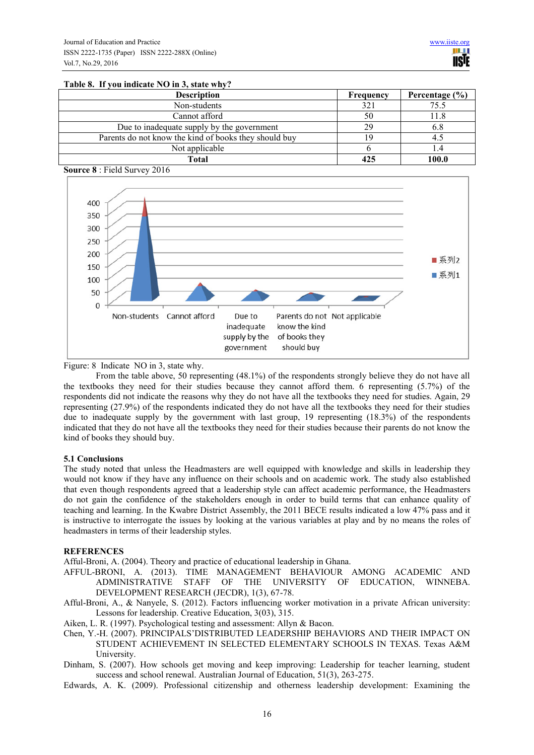#### **Table 8. If you indicate NO in 3, state why?**

| <b>Description</b>                                    | Frequency | Percentage $(\% )$ |
|-------------------------------------------------------|-----------|--------------------|
| Non-students                                          | 321       | 75.5               |
| Cannot afford                                         |           | l 1.8              |
| Due to inadequate supply by the government            | 29        | 6.8                |
| Parents do not know the kind of books they should buy |           | 4.5                |
| Not applicable                                        |           | I .4               |
| Total                                                 | 425       | 100.0              |





Figure: 8 Indicate NO in 3, state why.

From the table above, 50 representing (48.1%) of the respondents strongly believe they do not have all the textbooks they need for their studies because they cannot afford them. 6 representing (5.7%) of the respondents did not indicate the reasons why they do not have all the textbooks they need for studies. Again, 29 representing (27.9%) of the respondents indicated they do not have all the textbooks they need for their studies due to inadequate supply by the government with last group, 19 representing (18.3%) of the respondents indicated that they do not have all the textbooks they need for their studies because their parents do not know the kind of books they should buy.

## **5.1 Conclusions**

The study noted that unless the Headmasters are well equipped with knowledge and skills in leadership they would not know if they have any influence on their schools and on academic work. The study also established that even though respondents agreed that a leadership style can affect academic performance, the Headmasters do not gain the confidence of the stakeholders enough in order to build terms that can enhance quality of teaching and learning. In the Kwabre District Assembly, the 2011 BECE results indicated a low 47% pass and it is instructive to interrogate the issues by looking at the various variables at play and by no means the roles of headmasters in terms of their leadership styles.

## **REFERENCES**

Afful-Broni, A. (2004). Theory and practice of educational leadership in Ghana.

- AFFUL-BRONI, A. (2013). TIME MANAGEMENT BEHAVIOUR AMONG ACADEMIC AND OF THE UNIVERSITY OF EDUCATION, WINNEBA. DEVELOPMENT RESEARCH (JECDR), 1(3), 67-78.
- Afful-Broni, A., & Nanyele, S. (2012). Factors influencing worker motivation in a private African university: Lessons for leadership. Creative Education, 3(03), 315.
- Aiken, L. R. (1997). Psychological testing and assessment: Allyn & Bacon.
- Chen, Y.-H. (2007). PRINCIPALS'DISTRIBUTED LEADERSHIP BEHAVIORS AND THEIR IMPACT ON STUDENT ACHIEVEMENT IN SELECTED ELEMENTARY SCHOOLS IN TEXAS. Texas A&M University.
- Dinham, S. (2007). How schools get moving and keep improving: Leadership for teacher learning, student success and school renewal. Australian Journal of Education, 51(3), 263-275.
- Edwards, A. K. (2009). Professional citizenship and otherness leadership development: Examining the